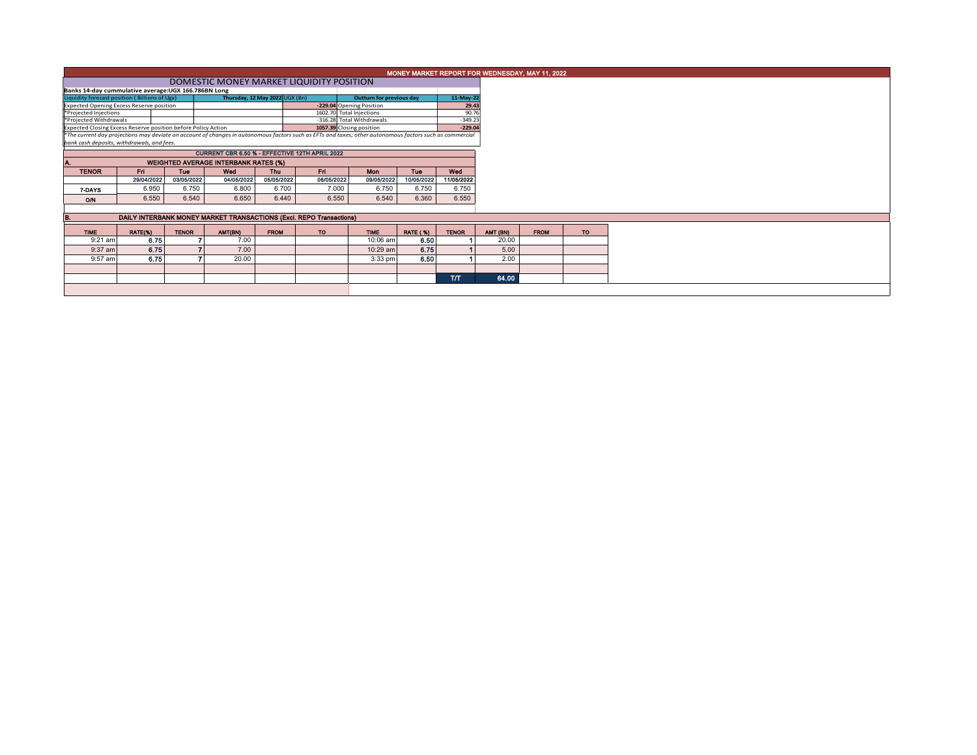|                                                                                                                                                                                                        |            |              |                                             |                                |                          |                           |                 | MONEY MARKET REPORT FOR WEDNESDAY, MAY 11, 2022 |          |             |     |
|--------------------------------------------------------------------------------------------------------------------------------------------------------------------------------------------------------|------------|--------------|---------------------------------------------|--------------------------------|--------------------------|---------------------------|-----------------|-------------------------------------------------|----------|-------------|-----|
|                                                                                                                                                                                                        |            |              | DOMESTIC MONEY MARKET LIQUIDITY POSITION    |                                |                          |                           |                 |                                                 |          |             |     |
| Banks 14-day cummulative average: UGX 166.786BN Long                                                                                                                                                   |            |              |                                             |                                |                          |                           |                 |                                                 |          |             |     |
| Liquidity forecast position (Billions of Ugx)                                                                                                                                                          |            |              |                                             | Thursday, 12 May 2022 UGX (Bn) | Outturn for previous day |                           | 11-May-22       |                                                 |          |             |     |
| -229.04 Opening Position<br><b>Expected Opening Excess Reserve position</b>                                                                                                                            |            |              |                                             |                                |                          |                           |                 | 29.43                                           |          |             |     |
| 1602.70 Total Injections<br>*Projected Injections                                                                                                                                                      |            |              |                                             |                                |                          |                           |                 | 90.76                                           |          |             |     |
| *Projected Withdrawals                                                                                                                                                                                 |            |              |                                             |                                |                          | -316.28 Total Withdrawals |                 | $-349.23$<br>$-229.04$                          |          |             |     |
| Expected Closing Excess Reserve position before Policy Action                                                                                                                                          |            |              |                                             |                                | 1057.39 Closing position |                           |                 |                                                 |          |             |     |
| *The current day projections may deviate on account of changes in autonomous factors such as EFTs and taxes; other autonomous factors such as commercial<br>bank cash deposits, withdrawals, and fees, |            |              |                                             |                                |                          |                           |                 |                                                 |          |             |     |
| CURRENT CBR 6.50 % - EFFECTIVE 12TH APRIL 2022                                                                                                                                                         |            |              |                                             |                                |                          |                           |                 |                                                 |          |             |     |
|                                                                                                                                                                                                        |            |              | <b>WEIGHTED AVERAGE INTERBANK RATES (%)</b> |                                |                          |                           |                 |                                                 |          |             |     |
| <b>TENOR</b>                                                                                                                                                                                           | Fri.       | <b>Tue</b>   | Wed                                         | <b>Thu</b>                     | Fri.                     | Mon                       | Tue             | Wed                                             |          |             |     |
|                                                                                                                                                                                                        | 29/04/2022 | 03/05/2022   | 04/05/2022                                  | 05/05/2022                     | 06/05/2022               | 09/05/2022                | 10/05/2022      | 11/05/2022                                      |          |             |     |
| 7-DAYS                                                                                                                                                                                                 | 6.950      | 6.750        | 6.800                                       | 6.700                          | 7.000                    | 6.750                     | 6.750           | 6.750                                           |          |             |     |
| O/N                                                                                                                                                                                                    | 6.550      | 6.540        | 6.650                                       | 6.440                          | 6.550                    | 6.540                     | 6.360           | 6.550                                           |          |             |     |
|                                                                                                                                                                                                        |            |              |                                             |                                |                          |                           |                 |                                                 |          |             |     |
| DAILY INTERBANK MONEY MARKET TRANSACTIONS (Excl. REPO Transactions)                                                                                                                                    |            |              |                                             |                                |                          |                           |                 |                                                 |          |             |     |
| <b>TIME</b>                                                                                                                                                                                            | RATE(%)    | <b>TENOR</b> | AMT(BN)                                     | <b>FROM</b>                    | TO:                      | <b>TIME</b>               | <b>RATE (%)</b> | <b>TENOR</b>                                    | AMT (BN) | <b>FROM</b> | TO: |
| $9:21$ am                                                                                                                                                                                              | 6.75       |              | 7.00                                        |                                |                          | 10:06 am                  | 6.50            |                                                 | 20.00    |             |     |
|                                                                                                                                                                                                        |            |              | 7.00                                        |                                |                          | 10:29 am                  |                 |                                                 |          |             |     |
| 9:37 am                                                                                                                                                                                                | 6.75       |              |                                             |                                |                          |                           | 6.75            |                                                 | 5.00     |             |     |
| 9:57 am                                                                                                                                                                                                | 6.75       |              | 20.00                                       |                                |                          | 3:33 pm                   | 6.50            |                                                 | 2.00     |             |     |
|                                                                                                                                                                                                        |            |              |                                             |                                |                          |                           |                 |                                                 |          |             |     |
|                                                                                                                                                                                                        |            |              |                                             |                                |                          |                           |                 | <b>T/T</b>                                      | 64.00    |             |     |
|                                                                                                                                                                                                        |            |              |                                             |                                |                          |                           |                 |                                                 |          |             |     |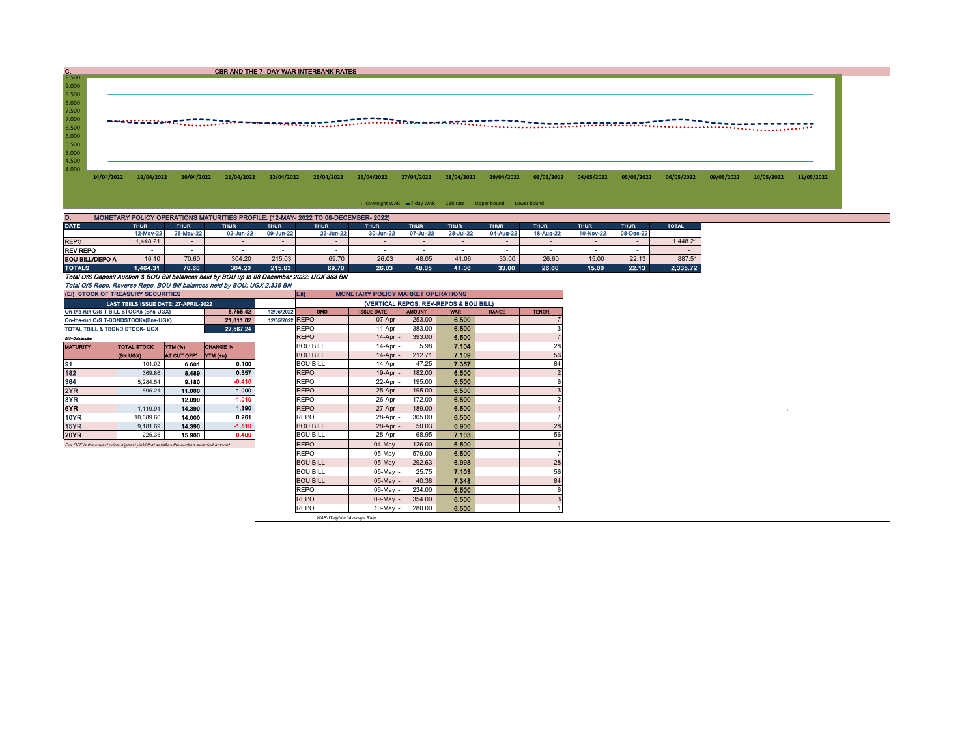CBR AND THE 7- DAY WAR INTERBANK RATES

14/04/2022 19/04/2022 20/04/2022 21/04/2022 22/04/2022 25/04/2022 26/04/2022 27/04/2022 28/04/2022 29/04/2022 03/05/2022 04/05/2022 05/05/2022 06/05/2022 10/05/2022 11/05/2022 11/05/2022

• Overnight WAR = 7-day WAR CBR rate - Upper bound - Lower bound

| MONETARY POLICY OPERATIONS MATURITIES PROFILE: (12-MAY- 2022 TO 08-DECEMBER- 2022)<br>D.     |                                                          |           |             |             |                          |             |             |             |             |             |              |           |          |  |
|----------------------------------------------------------------------------------------------|----------------------------------------------------------|-----------|-------------|-------------|--------------------------|-------------|-------------|-------------|-------------|-------------|--------------|-----------|----------|--|
| DATE:                                                                                        | <b>THUR</b><br><b>THUR</b><br><b>THUR</b><br><b>THUR</b> |           | <b>THUR</b> | <b>THUR</b> |                          | <b>THUR</b> | <b>THUR</b> | <b>THUR</b> | <b>THUR</b> | <b>THUR</b> | <b>TOTAL</b> |           |          |  |
|                                                                                              | 12-May-22                                                | 26-May-22 | 02-Jun-22   | 09-Jun-22   | 23-Jun-22                | 30-Jun-22   | 07-Jul-22   | 28-Jul-22   | 04-Aug-22   | 18-Aug-22   | 10-Nov-22    | 08-Dec-22 |          |  |
| <b>REPO</b>                                                                                  | .448.21                                                  |           |             |             | $\overline{\phantom{a}}$ |             | -           |             | -           |             | -            |           | 1.448.21 |  |
| <b>REV REPO</b>                                                                              | -                                                        |           |             |             |                          |             | -           |             |             |             |              |           |          |  |
| <b>BOU BILL/DEPO A</b>                                                                       | 16.10                                                    | 70.60     | 304.20      | 215.03      | 69.70                    | 26.03       | 48.05       | 41.06       | 33.00       | 26.60       | 15.00        | 22.13     | 887.51   |  |
| <b>TOTALS</b>                                                                                | 1.464.31                                                 | 70.60     | 304.20      | 215.03      | 69.70                    | 26.03       | 48.05       | 41.06       | 33.00       | 26.60       | 15.00        | 22.13     | 2.335.72 |  |
| Total O/S Deposit Auction & BOU Bill balances held by BOU up to 08 December 2022: UGX 888 BN |                                                          |           |             |             |                          |             |             |             |             |             |              |           |          |  |
| Total O/S Repo, Reverse Repo, BOU Bill balances held by BOU: UGX 2,336 BN                    |                                                          |           |             |             |                          |             |             |             |             |             |              |           |          |  |

9.500<br>
9.000<br>
8.500<br>
7.500<br>
7.000<br>
6.500<br>
5.500<br>
5.500<br>
4.500<br>
4.500

| (EI) STOCK OF TREASURY SECURITIES |                                                                                       |                    |                  |                 | <b>EID</b><br><b>MONETARY POLICY MARKET OPERATIONS</b> |                   |               |            |              |              |  |  |  |
|-----------------------------------|---------------------------------------------------------------------------------------|--------------------|------------------|-----------------|--------------------------------------------------------|-------------------|---------------|------------|--------------|--------------|--|--|--|
|                                   | LAST TBIILS ISSUE DATE: 27-APRIL-2022                                                 |                    |                  |                 | (VERTICAL REPOS, REV-REPOS & BOU BILL)                 |                   |               |            |              |              |  |  |  |
|                                   | On-the-run O/S T-BILL STOCKs (Bns-UGX)                                                |                    | 5.755.42         | 12/05/2022      | OMO                                                    | <b>ISSUE DATE</b> | <b>AMOUNT</b> | <b>WAR</b> | <b>RANGE</b> | <b>TENOR</b> |  |  |  |
|                                   | On-the-run O/S T-BONDSTOCKs(Bns-UGX)                                                  |                    | 21.811.82        | 12/05/2022 REPO |                                                        | $07-Apr$ -        | 253.00        | 6.500      |              |              |  |  |  |
| TOTAL TBILL & TBOND STOCK- UGX    |                                                                                       |                    | 27,567.24        |                 | <b>REPO</b>                                            | 11-Apr            | 383.00        | 6.500      |              |              |  |  |  |
| Q/S=Outstanding                   |                                                                                       |                    |                  |                 | <b>REPO</b>                                            | $14-Apr$ -        | 393.00        | 6.500      |              |              |  |  |  |
| <b>MATURITY</b>                   | <b>TOTAL STOCK</b>                                                                    | YTM (%)            | <b>CHANGE IN</b> |                 | <b>BOU BILL</b>                                        | $14-Apr$          | 5.98          | 7.104      |              | 28           |  |  |  |
|                                   | (BN UGX)                                                                              | <b>AT CUT OFF*</b> | <b>YTM</b> (+/-) |                 | <b>BOU BILL</b>                                        | $14-Apr$ -        | 212.71        | 7.109      |              | 56           |  |  |  |
| 91                                | 101.02                                                                                | 6.601              | 0.100            |                 | <b>BOU BILL</b>                                        | 14-Apr            | 47.25         | 7.357      |              | 84           |  |  |  |
| 182                               | 369.86                                                                                | 8.489              | 0.357            |                 | <b>REPO</b>                                            | $19-Apr$ -        | 182.00        | 6.500      |              |              |  |  |  |
| 364                               | 5.284.54                                                                              | 9.180              | $-0.410$         |                 | <b>REPO</b>                                            | 22-Apr            | 195.00        | 6.500      |              |              |  |  |  |
| 2YR                               | 595.21                                                                                | 11.000             | 1.000            |                 | <b>REPO</b>                                            | $25-Apr$          | 195.00        | 6.500      |              |              |  |  |  |
| 3YR.                              | $\overline{\phantom{a}}$                                                              | 12.090             | $-1.010$         |                 | <b>REPO</b>                                            | 26-Apr            | 172.00        | 6,500      |              |              |  |  |  |
| 5YR.                              | 1.119.91                                                                              | 14,390             | 1.390            |                 | <b>REPO</b>                                            | $27-Apr$          | 189.00        | 6,500      |              |              |  |  |  |
| 10YR                              | 10.689.66                                                                             | 14.000             | 0.261            |                 | <b>REPO</b>                                            | 28-Apr            | 305.00        | 6.500      |              |              |  |  |  |
| 15YR                              | 9.181.69                                                                              | 14.390             | $-1.510$         |                 | <b>BOU BILL</b>                                        | 28-Apr            | 50.03         | 6.906      |              | 28           |  |  |  |
| 20YR                              | 225.35                                                                                | 15,900             | 0.400            |                 | <b>BOU BILL</b>                                        | 28-Apr            | 68.95         | 7.103      |              | 56           |  |  |  |
|                                   | Cut OFF is the lowest price/ highest yield that satisfies the auction awarded amount. |                    |                  |                 | <b>REPO</b>                                            | $04$ -May         | 126.00        | 6.500      |              |              |  |  |  |
|                                   |                                                                                       |                    |                  |                 | <b>REPO</b>                                            | $05$ -May         | 579.00        | 6.500      |              |              |  |  |  |
|                                   |                                                                                       |                    |                  |                 | <b>BOU BILL</b>                                        | $05$ -May         | 292.63        | 6.998      |              | 28           |  |  |  |
|                                   |                                                                                       |                    |                  |                 | <b>BOU BILL</b>                                        | $05$ -May         | 25.75         | 7.103      |              | 56           |  |  |  |
|                                   |                                                                                       |                    |                  |                 | <b>BOU BILL</b>                                        | 05-May -          | 40.38         | 7.348      |              | 84           |  |  |  |
|                                   |                                                                                       |                    |                  |                 | <b>REPO</b>                                            | $06$ -May         | 234.00        | 6.500      |              |              |  |  |  |
|                                   |                                                                                       |                    |                  |                 | <b>REPO</b>                                            | $09$ -May         | 354.00        | 6.500      |              |              |  |  |  |
|                                   |                                                                                       |                    |                  |                 | <b>REPO</b>                                            | $10$ -May -       | 280.00        | 6.500      |              |              |  |  |  |
|                                   |                                                                                       |                    |                  |                 |                                                        |                   |               |            |              |              |  |  |  |

WAR-Weighted Average Rate